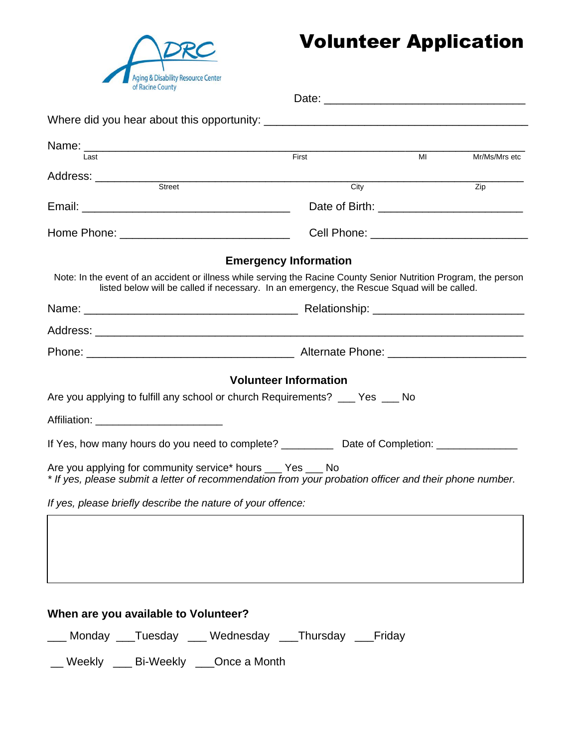

## Volunteer Application

| Last                                                                                                                                                                   | First                                                                                                                                                                                                            | MI | Mr/Ms/Mrs etc |  |  |  |  |
|------------------------------------------------------------------------------------------------------------------------------------------------------------------------|------------------------------------------------------------------------------------------------------------------------------------------------------------------------------------------------------------------|----|---------------|--|--|--|--|
|                                                                                                                                                                        |                                                                                                                                                                                                                  |    |               |  |  |  |  |
|                                                                                                                                                                        | City                                                                                                                                                                                                             |    | Zip           |  |  |  |  |
|                                                                                                                                                                        |                                                                                                                                                                                                                  |    |               |  |  |  |  |
|                                                                                                                                                                        |                                                                                                                                                                                                                  |    |               |  |  |  |  |
|                                                                                                                                                                        | <b>Emergency Information</b>                                                                                                                                                                                     |    |               |  |  |  |  |
|                                                                                                                                                                        | Note: In the event of an accident or illness while serving the Racine County Senior Nutrition Program, the person<br>listed below will be called if necessary. In an emergency, the Rescue Squad will be called. |    |               |  |  |  |  |
|                                                                                                                                                                        |                                                                                                                                                                                                                  |    |               |  |  |  |  |
|                                                                                                                                                                        |                                                                                                                                                                                                                  |    |               |  |  |  |  |
|                                                                                                                                                                        |                                                                                                                                                                                                                  |    |               |  |  |  |  |
|                                                                                                                                                                        | <b>Volunteer Information</b>                                                                                                                                                                                     |    |               |  |  |  |  |
| Are you applying to fulfill any school or church Requirements? ___ Yes ___ No                                                                                          |                                                                                                                                                                                                                  |    |               |  |  |  |  |
| Affiliation: <b>Affiliation Affiliation</b>                                                                                                                            |                                                                                                                                                                                                                  |    |               |  |  |  |  |
| If Yes, how many hours do you need to complete? ______________ Date of Completion: ________________                                                                    |                                                                                                                                                                                                                  |    |               |  |  |  |  |
| Are you applying for community service* hours ___ Yes ___ No<br>* If yes, please submit a letter of recommendation from your probation officer and their phone number. |                                                                                                                                                                                                                  |    |               |  |  |  |  |
| If yes, please briefly describe the nature of your offence:                                                                                                            |                                                                                                                                                                                                                  |    |               |  |  |  |  |
|                                                                                                                                                                        |                                                                                                                                                                                                                  |    |               |  |  |  |  |
|                                                                                                                                                                        |                                                                                                                                                                                                                  |    |               |  |  |  |  |
|                                                                                                                                                                        |                                                                                                                                                                                                                  |    |               |  |  |  |  |

## **When are you available to Volunteer?**

\_\_\_ Monday \_\_\_Tuesday \_\_\_ Wednesday \_\_\_Thursday \_\_\_Friday

\_\_ Weekly \_\_\_ Bi-Weekly \_\_\_Once a Month